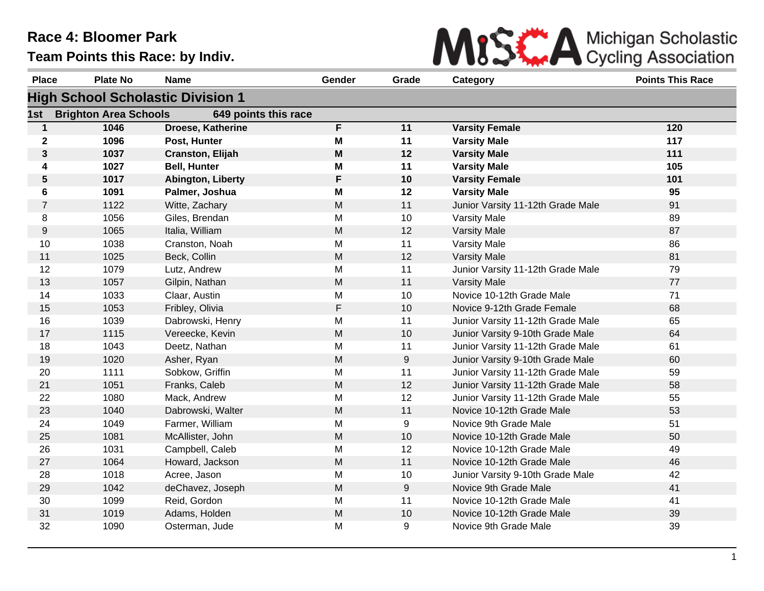

| <b>Place</b>   | <b>Plate No</b>              | <b>Name</b>                              | Gender    | Grade | Category                          | <b>Points This Race</b> |
|----------------|------------------------------|------------------------------------------|-----------|-------|-----------------------------------|-------------------------|
|                |                              | <b>High School Scholastic Division 1</b> |           |       |                                   |                         |
| 1st            | <b>Brighton Area Schools</b> | 649 points this race                     |           |       |                                   |                         |
| $\mathbf{1}$   | 1046                         | Droese, Katherine                        | F         | 11    | <b>Varsity Female</b>             | 120                     |
| $\mathbf 2$    | 1096                         | Post, Hunter                             | M         | 11    | <b>Varsity Male</b>               | 117                     |
| $\mathbf{3}$   | 1037                         | Cranston, Elijah                         | M         | 12    | <b>Varsity Male</b>               | 111                     |
| 4              | 1027                         | <b>Bell, Hunter</b>                      | M         | 11    | <b>Varsity Male</b>               | 105                     |
| $\sqrt{5}$     | 1017                         | Abington, Liberty                        | F         | 10    | <b>Varsity Female</b>             | 101                     |
| 6              | 1091                         | Palmer, Joshua                           | M         | 12    | <b>Varsity Male</b>               | 95                      |
| $\overline{7}$ | 1122                         | Witte, Zachary                           | M         | 11    | Junior Varsity 11-12th Grade Male | 91                      |
| 8              | 1056                         | Giles, Brendan                           | M         | 10    | Varsity Male                      | 89                      |
| 9              | 1065                         | Italia, William                          | M         | 12    | <b>Varsity Male</b>               | 87                      |
| 10             | 1038                         | Cranston, Noah                           | M         | 11    | Varsity Male                      | 86                      |
| 11             | 1025                         | Beck, Collin                             | M         | 12    | <b>Varsity Male</b>               | 81                      |
| 12             | 1079                         | Lutz, Andrew                             | M         | 11    | Junior Varsity 11-12th Grade Male | 79                      |
| 13             | 1057                         | Gilpin, Nathan                           | M         | 11    | <b>Varsity Male</b>               | 77                      |
| 14             | 1033                         | Claar, Austin                            | M         | 10    | Novice 10-12th Grade Male         | 71                      |
| 15             | 1053                         | Fribley, Olivia                          | F         | 10    | Novice 9-12th Grade Female        | 68                      |
| 16             | 1039                         | Dabrowski, Henry                         | M         | 11    | Junior Varsity 11-12th Grade Male | 65                      |
| 17             | 1115                         | Vereecke, Kevin                          | ${\sf M}$ | 10    | Junior Varsity 9-10th Grade Male  | 64                      |
| 18             | 1043                         | Deetz, Nathan                            | M         | 11    | Junior Varsity 11-12th Grade Male | 61                      |
| 19             | 1020                         | Asher, Ryan                              | M         | 9     | Junior Varsity 9-10th Grade Male  | 60                      |
| 20             | 1111                         | Sobkow, Griffin                          | M         | 11    | Junior Varsity 11-12th Grade Male | 59                      |
| 21             | 1051                         | Franks, Caleb                            | M         | 12    | Junior Varsity 11-12th Grade Male | 58                      |
| 22             | 1080                         | Mack, Andrew                             | M         | 12    | Junior Varsity 11-12th Grade Male | 55                      |
| 23             | 1040                         | Dabrowski, Walter                        | ${\sf M}$ | 11    | Novice 10-12th Grade Male         | 53                      |
| 24             | 1049                         | Farmer, William                          | M         | 9     | Novice 9th Grade Male             | 51                      |
| 25             | 1081                         | McAllister, John                         | ${\sf M}$ | 10    | Novice 10-12th Grade Male         | 50                      |
| 26             | 1031                         | Campbell, Caleb                          | M         | 12    | Novice 10-12th Grade Male         | 49                      |
| 27             | 1064                         | Howard, Jackson                          | M         | 11    | Novice 10-12th Grade Male         | 46                      |
| 28             | 1018                         | Acree, Jason                             | M         | 10    | Junior Varsity 9-10th Grade Male  | 42                      |
| 29             | 1042                         | deChavez, Joseph                         | ${\sf M}$ | 9     | Novice 9th Grade Male             | 41                      |
| 30             | 1099                         | Reid, Gordon                             | M         | 11    | Novice 10-12th Grade Male         | 41                      |
| 31             | 1019                         | Adams, Holden                            | M         | 10    | Novice 10-12th Grade Male         | 39                      |
| 32             | 1090                         | Osterman, Jude                           | M         | 9     | Novice 9th Grade Male             | 39                      |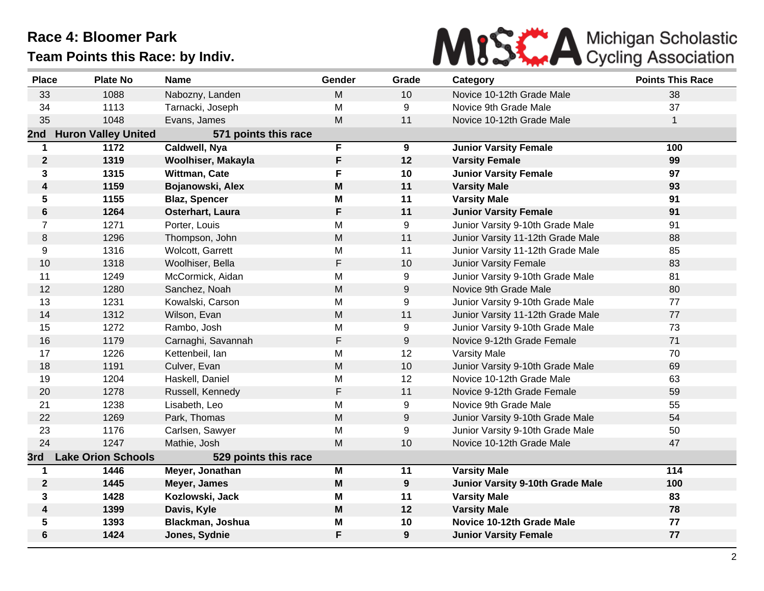

| <b>Place</b>            | <b>Plate No</b>            | <b>Name</b>          | Gender | Grade            | Category                          | <b>Points This Race</b> |
|-------------------------|----------------------------|----------------------|--------|------------------|-----------------------------------|-------------------------|
| 33                      | 1088                       | Nabozny, Landen      | M      | 10               | Novice 10-12th Grade Male         | 38                      |
| 34                      | 1113                       | Tarnacki, Joseph     | M      | 9                | Novice 9th Grade Male             | 37                      |
| 35                      | 1048                       | Evans, James         | M      | 11               | Novice 10-12th Grade Male         | $\mathbf{1}$            |
| 2nd                     | <b>Huron Valley United</b> | 571 points this race |        |                  |                                   |                         |
| 1                       | 1172                       | Caldwell, Nya        | F      | 9                | <b>Junior Varsity Female</b>      | 100                     |
| $\boldsymbol{2}$        | 1319                       | Woolhiser, Makayla   | F      | 12               | <b>Varsity Female</b>             | 99                      |
| 3                       | 1315                       | Wittman, Cate        | F      | 10               | <b>Junior Varsity Female</b>      | 97                      |
| $\overline{\mathbf{4}}$ | 1159                       | Bojanowski, Alex     | M      | 11               | <b>Varsity Male</b>               | 93                      |
| 5                       | 1155                       | <b>Blaz, Spencer</b> | M      | 11               | <b>Varsity Male</b>               | 91                      |
| $\bf 6$                 | 1264                       | Osterhart, Laura     | F      | 11               | <b>Junior Varsity Female</b>      | 91                      |
| $\overline{7}$          | 1271                       | Porter, Louis        | M      | 9                | Junior Varsity 9-10th Grade Male  | 91                      |
| 8                       | 1296                       | Thompson, John       | M      | 11               | Junior Varsity 11-12th Grade Male | 88                      |
| 9                       | 1316                       | Wolcott, Garrett     | M      | 11               | Junior Varsity 11-12th Grade Male | 85                      |
| 10                      | 1318                       | Woolhiser, Bella     | F      | 10               | <b>Junior Varsity Female</b>      | 83                      |
| 11                      | 1249                       | McCormick, Aidan     | M      | 9                | Junior Varsity 9-10th Grade Male  | 81                      |
| 12                      | 1280                       | Sanchez, Noah        | M      | $\boldsymbol{9}$ | Novice 9th Grade Male             | 80                      |
| 13                      | 1231                       | Kowalski, Carson     | M      | 9                | Junior Varsity 9-10th Grade Male  | 77                      |
| 14                      | 1312                       | Wilson, Evan         | M      | 11               | Junior Varsity 11-12th Grade Male | 77                      |
| 15                      | 1272                       | Rambo, Josh          | M      | 9                | Junior Varsity 9-10th Grade Male  | 73                      |
| 16                      | 1179                       | Carnaghi, Savannah   | F      | 9                | Novice 9-12th Grade Female        | 71                      |
| 17                      | 1226                       | Kettenbeil, lan      | M      | 12               | <b>Varsity Male</b>               | 70                      |
| 18                      | 1191                       | Culver, Evan         | M      | 10               | Junior Varsity 9-10th Grade Male  | 69                      |
| 19                      | 1204                       | Haskell, Daniel      | M      | 12               | Novice 10-12th Grade Male         | 63                      |
| 20                      | 1278                       | Russell, Kennedy     | F      | 11               | Novice 9-12th Grade Female        | 59                      |
| 21                      | 1238                       | Lisabeth, Leo        | M      | 9                | Novice 9th Grade Male             | 55                      |
| 22                      | 1269                       | Park, Thomas         | M      | $\boldsymbol{9}$ | Junior Varsity 9-10th Grade Male  | 54                      |
| 23                      | 1176                       | Carlsen, Sawyer      | M      | 9                | Junior Varsity 9-10th Grade Male  | 50                      |
| 24                      | 1247                       | Mathie, Josh         | M      | 10               | Novice 10-12th Grade Male         | 47                      |
| 3rd                     | <b>Lake Orion Schools</b>  | 529 points this race |        |                  |                                   |                         |
| $\mathbf 1$             | 1446                       | Meyer, Jonathan      | M      | 11               | <b>Varsity Male</b>               | 114                     |
| $\boldsymbol{2}$        | 1445                       | Meyer, James         | M      | 9                | Junior Varsity 9-10th Grade Male  | 100                     |
| 3                       | 1428                       | Kozlowski, Jack      | M      | 11               | <b>Varsity Male</b>               | 83                      |
| 4                       | 1399                       | Davis, Kyle          | M      | 12               | <b>Varsity Male</b>               | 78                      |
| 5                       | 1393                       | Blackman, Joshua     | M      | 10               | Novice 10-12th Grade Male         | 77                      |
| $6\phantom{1}$          | 1424                       | Jones, Sydnie        | F      | 9                | <b>Junior Varsity Female</b>      | 77                      |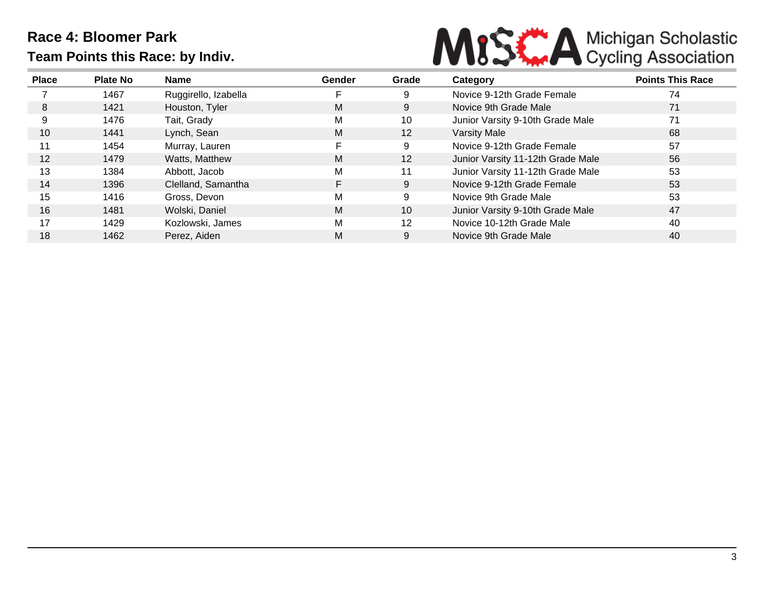

| <b>Place</b>      | <b>Plate No</b> | Name                 | Gender | Grade | Category                          | <b>Points This Race</b> |
|-------------------|-----------------|----------------------|--------|-------|-----------------------------------|-------------------------|
|                   | 1467            | Ruggirello, Izabella |        | 9     | Novice 9-12th Grade Female        | 74                      |
| 8                 | 1421            | Houston, Tyler       | M      | 9     | Novice 9th Grade Male             | 71                      |
| 9                 | 1476            | Tait, Grady          | М      | 10    | Junior Varsity 9-10th Grade Male  | 71                      |
| 10                | 1441            | Lynch, Sean          | M      | 12    | <b>Varsity Male</b>               | 68                      |
| 11                | 1454            | Murray, Lauren       |        | 9     | Novice 9-12th Grade Female        | 57                      |
| $12 \overline{ }$ | 1479            | Watts, Matthew       | M      | 12    | Junior Varsity 11-12th Grade Male | 56                      |
| 13                | 1384            | Abbott, Jacob        | М      | 11    | Junior Varsity 11-12th Grade Male | 53                      |
| 14                | 1396            | Clelland, Samantha   |        | 9     | Novice 9-12th Grade Female        | 53                      |
| 15                | 1416            | Gross, Devon         | М      | 9     | Novice 9th Grade Male             | 53                      |
| 16                | 1481            | Wolski, Daniel       | M      | 10    | Junior Varsity 9-10th Grade Male  | 47                      |
| 17                | 1429            | Kozlowski, James     | М      | 12    | Novice 10-12th Grade Male         | 40                      |
| 18                | 1462            | Perez, Aiden         | M      | 9     | Novice 9th Grade Male             | 40                      |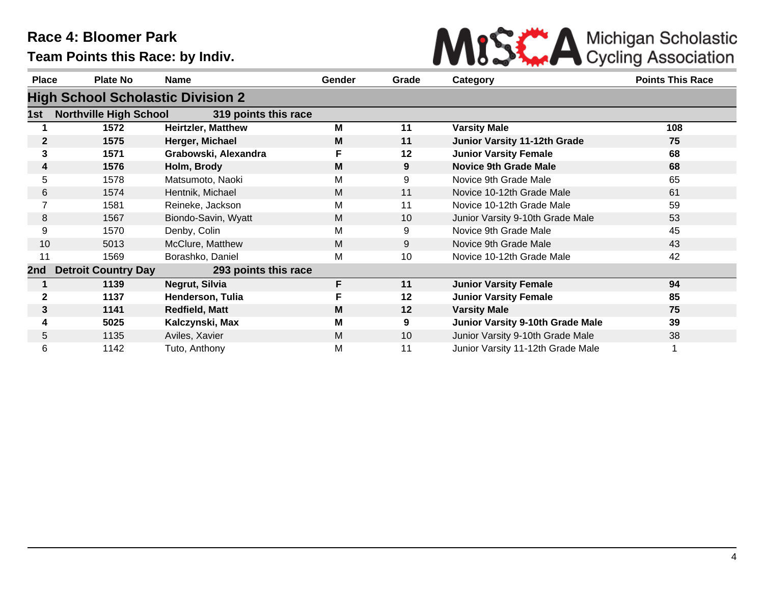

| <b>Place</b> | <b>Plate No</b>                          | <b>Name</b>               | <b>Gender</b> | Grade | Category                                | <b>Points This Race</b> |
|--------------|------------------------------------------|---------------------------|---------------|-------|-----------------------------------------|-------------------------|
|              | <b>High School Scholastic Division 2</b> |                           |               |       |                                         |                         |
| 1st          | <b>Northville High School</b>            | 319 points this race      |               |       |                                         |                         |
|              | 1572                                     | <b>Heirtzler, Matthew</b> | M             | 11    | <b>Varsity Male</b>                     | 108                     |
| $\mathbf{2}$ | 1575                                     | Herger, Michael           | M             | 11    | <b>Junior Varsity 11-12th Grade</b>     | 75                      |
| 3            | 1571                                     | Grabowski, Alexandra      |               | 12    | <b>Junior Varsity Female</b>            | 68                      |
| 4            | 1576                                     | Holm, Brody               | M             | 9     | <b>Novice 9th Grade Male</b>            | 68                      |
| 5            | 1578                                     | Matsumoto, Naoki          | M             | 9     | Novice 9th Grade Male                   | 65                      |
| 6            | 1574                                     | Hentnik, Michael          | M             | 11    | Novice 10-12th Grade Male               | 61                      |
|              | 1581                                     | Reineke, Jackson          | М             | 11    | Novice 10-12th Grade Male               | 59                      |
| 8            | 1567                                     | Biondo-Savin, Wyatt       | M             | 10    | Junior Varsity 9-10th Grade Male        | 53                      |
| 9            | 1570                                     | Denby, Colin              | M             | 9     | Novice 9th Grade Male                   | 45                      |
| 10           | 5013                                     | McClure, Matthew          | M             | 9     | Novice 9th Grade Male                   | 43                      |
| 11           | 1569                                     | Borashko, Daniel          | М             | 10    | Novice 10-12th Grade Male               | 42                      |
| 2nd          | <b>Detroit Country Day</b>               | 293 points this race      |               |       |                                         |                         |
|              | 1139                                     | Negrut, Silvia            | F             | 11    | <b>Junior Varsity Female</b>            | 94                      |
| 2            | 1137                                     | Henderson, Tulia          | F             | 12    | <b>Junior Varsity Female</b>            | 85                      |
| 3            | 1141                                     | <b>Redfield, Matt</b>     | M             | 12    | <b>Varsity Male</b>                     | 75                      |
| 4            | 5025                                     | Kalczynski, Max           | M             | 9     | <b>Junior Varsity 9-10th Grade Male</b> | 39                      |
| 5            | 1135                                     | Aviles, Xavier            | M             | 10    | Junior Varsity 9-10th Grade Male        | 38                      |
| 6            | 1142                                     | Tuto, Anthony             | Μ             | 11    | Junior Varsity 11-12th Grade Male       |                         |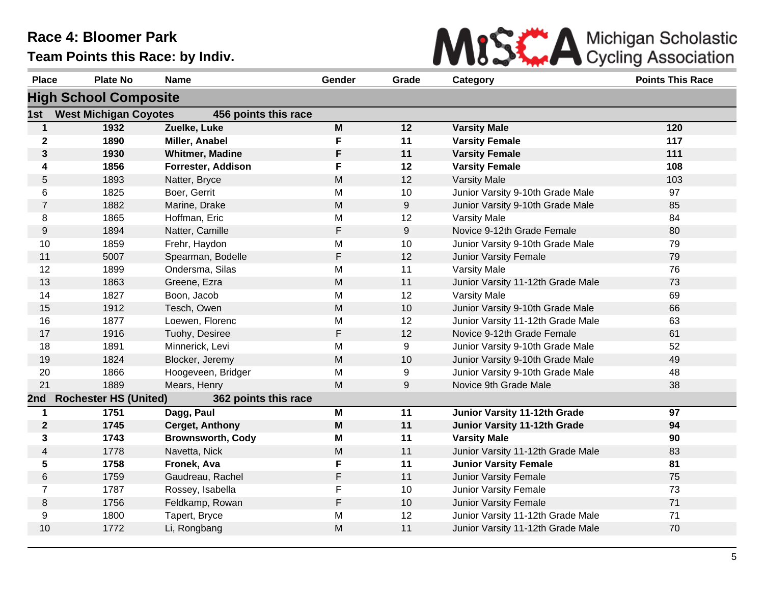

| <b>Place</b>   | <b>Plate No</b>              | <b>Name</b>              | Gender    | Grade | Category                            | <b>Points This Race</b> |
|----------------|------------------------------|--------------------------|-----------|-------|-------------------------------------|-------------------------|
|                | <b>High School Composite</b> |                          |           |       |                                     |                         |
| 1st            | <b>West Michigan Coyotes</b> | 456 points this race     |           |       |                                     |                         |
| $\mathbf{1}$   | 1932                         | Zuelke, Luke             | M         | 12    | <b>Varsity Male</b>                 | 120                     |
| $\mathbf 2$    | 1890                         | Miller, Anabel           | F         | 11    | <b>Varsity Female</b>               | 117                     |
| 3              | 1930                         | <b>Whitmer, Madine</b>   | F         | 11    | <b>Varsity Female</b>               | 111                     |
| 4              | 1856                         | Forrester, Addison       | F         | 12    | <b>Varsity Female</b>               | 108                     |
| 5              | 1893                         | Natter, Bryce            | M         | 12    | <b>Varsity Male</b>                 | 103                     |
| 6              | 1825                         | Boer, Gerrit             | M         | 10    | Junior Varsity 9-10th Grade Male    | 97                      |
| $\overline{7}$ | 1882                         | Marine, Drake            | ${\sf M}$ | 9     | Junior Varsity 9-10th Grade Male    | 85                      |
| 8              | 1865                         | Hoffman, Eric            | M         | 12    | <b>Varsity Male</b>                 | 84                      |
| $9\,$          | 1894                         | Natter, Camille          | F         | 9     | Novice 9-12th Grade Female          | 80                      |
| 10             | 1859                         | Frehr, Haydon            | M         | 10    | Junior Varsity 9-10th Grade Male    | 79                      |
| 11             | 5007                         | Spearman, Bodelle        | F         | 12    | <b>Junior Varsity Female</b>        | 79                      |
| 12             | 1899                         | Ondersma, Silas          | M         | 11    | <b>Varsity Male</b>                 | 76                      |
| 13             | 1863                         | Greene, Ezra             | M         | 11    | Junior Varsity 11-12th Grade Male   | 73                      |
| 14             | 1827                         | Boon, Jacob              | M         | 12    | <b>Varsity Male</b>                 | 69                      |
| 15             | 1912                         | Tesch, Owen              | M         | 10    | Junior Varsity 9-10th Grade Male    | 66                      |
| 16             | 1877                         | Loewen, Florenc          | M         | 12    | Junior Varsity 11-12th Grade Male   | 63                      |
| 17             | 1916                         | Tuohy, Desiree           | F         | 12    | Novice 9-12th Grade Female          | 61                      |
| 18             | 1891                         | Minnerick, Levi          | M         | 9     | Junior Varsity 9-10th Grade Male    | 52                      |
| 19             | 1824                         | Blocker, Jeremy          | M         | 10    | Junior Varsity 9-10th Grade Male    | 49                      |
| 20             | 1866                         | Hoogeveen, Bridger       | M         | 9     | Junior Varsity 9-10th Grade Male    | 48                      |
| 21             | 1889                         | Mears, Henry             | M         | 9     | Novice 9th Grade Male               | 38                      |
| 2nd            | <b>Rochester HS (United)</b> | 362 points this race     |           |       |                                     |                         |
| $\mathbf 1$    | 1751                         | Dagg, Paul               | M         | 11    | Junior Varsity 11-12th Grade        | 97                      |
| $\mathbf{2}$   | 1745                         | <b>Cerget, Anthony</b>   | M         | 11    | <b>Junior Varsity 11-12th Grade</b> | 94                      |
| 3              | 1743                         | <b>Brownsworth, Cody</b> | M         | 11    | <b>Varsity Male</b>                 | 90                      |
| 4              | 1778                         | Navetta, Nick            | M         | 11    | Junior Varsity 11-12th Grade Male   | 83                      |
| 5              | 1758                         | Fronek, Ava              | F         | 11    | <b>Junior Varsity Female</b>        | 81                      |
| 6              | 1759                         | Gaudreau, Rachel         | F         | 11    | <b>Junior Varsity Female</b>        | 75                      |
| $\overline{7}$ | 1787                         | Rossey, Isabella         | F         | 10    | <b>Junior Varsity Female</b>        | 73                      |
| 8              | 1756                         | Feldkamp, Rowan          | F         | 10    | Junior Varsity Female               | 71                      |
| 9              | 1800                         | Tapert, Bryce            | M         | 12    | Junior Varsity 11-12th Grade Male   | 71                      |
| 10             | 1772                         | Li, Rongbang             | M         | 11    | Junior Varsity 11-12th Grade Male   | 70                      |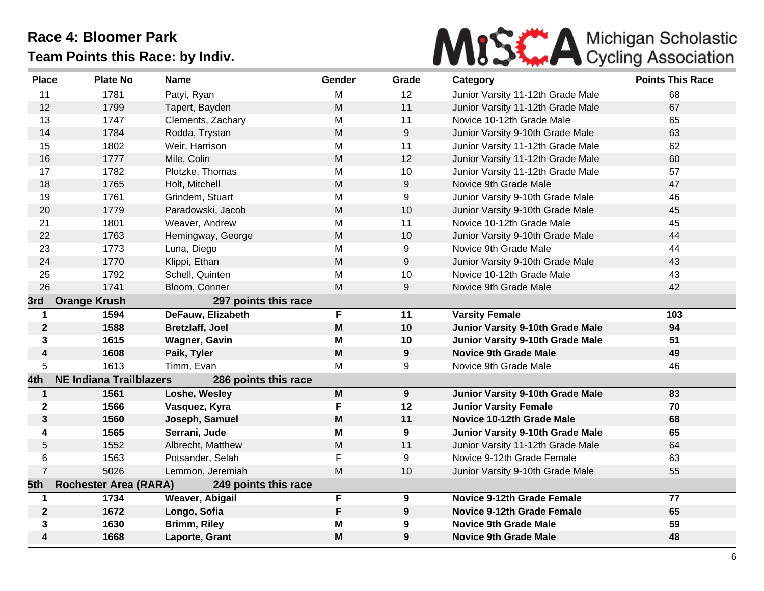

| <b>Place</b>     | <b>Plate No</b>                | <b>Name</b>            | Gender    | Grade | Category                          | <b>Points This Race</b> |
|------------------|--------------------------------|------------------------|-----------|-------|-----------------------------------|-------------------------|
| 11               | 1781                           | Patyi, Ryan            | M         | 12    | Junior Varsity 11-12th Grade Male | 68                      |
| 12               | 1799                           | Tapert, Bayden         | M         | 11    | Junior Varsity 11-12th Grade Male | 67                      |
| 13               | 1747                           | Clements, Zachary      | M         | 11    | Novice 10-12th Grade Male         | 65                      |
| 14               | 1784                           | Rodda, Trystan         | ${\sf M}$ | 9     | Junior Varsity 9-10th Grade Male  | 63                      |
| 15               | 1802                           | Weir, Harrison         | M         | 11    | Junior Varsity 11-12th Grade Male | 62                      |
| 16               | 1777                           | Mile, Colin            | M         | 12    | Junior Varsity 11-12th Grade Male | 60                      |
| 17               | 1782                           | Plotzke, Thomas        | M         | 10    | Junior Varsity 11-12th Grade Male | 57                      |
| 18               | 1765                           | Holt, Mitchell         | M         | 9     | Novice 9th Grade Male             | 47                      |
| 19               | 1761                           | Grindem, Stuart        | M         | 9     | Junior Varsity 9-10th Grade Male  | 46                      |
| 20               | 1779                           | Paradowski, Jacob      | M         | 10    | Junior Varsity 9-10th Grade Male  | 45                      |
| 21               | 1801                           | Weaver, Andrew         | M         | 11    | Novice 10-12th Grade Male         | 45                      |
| 22               | 1763                           | Hemingway, George      | M         | 10    | Junior Varsity 9-10th Grade Male  | 44                      |
| 23               | 1773                           | Luna, Diego            | M         | 9     | Novice 9th Grade Male             | 44                      |
| 24               | 1770                           | Klippi, Ethan          | M         | 9     | Junior Varsity 9-10th Grade Male  | 43                      |
| 25               | 1792                           | Schell, Quinten        | M         | 10    | Novice 10-12th Grade Male         | 43                      |
| 26               | 1741                           | Bloom, Conner          | M         | 9     | Novice 9th Grade Male             | 42                      |
| 3rd              | <b>Orange Krush</b>            | 297 points this race   |           |       |                                   |                         |
| 1                | 1594                           | DeFauw, Elizabeth      | F         | 11    | <b>Varsity Female</b>             | 103                     |
| $\mathbf{2}$     | 1588                           | <b>Bretzlaff, Joel</b> | M         | 10    | Junior Varsity 9-10th Grade Male  | 94                      |
| 3                | 1615                           | <b>Wagner, Gavin</b>   | M         | 10    | Junior Varsity 9-10th Grade Male  | 51                      |
| $\boldsymbol{4}$ | 1608                           | Paik, Tyler            | M         | 9     | <b>Novice 9th Grade Male</b>      | 49                      |
| 5                | 1613                           | Timm, Evan             | M         | 9     | Novice 9th Grade Male             | 46                      |
| 4th              | <b>NE Indiana Trailblazers</b> | 286 points this race   |           |       |                                   |                         |
| $\mathbf{1}$     | 1561                           | Loshe, Wesley          | M         | 9     | Junior Varsity 9-10th Grade Male  | 83                      |
| $\mathbf 2$      | 1566                           | Vasquez, Kyra          | F         | 12    | <b>Junior Varsity Female</b>      | 70                      |
| 3                | 1560                           | Joseph, Samuel         | M         | 11    | Novice 10-12th Grade Male         | 68                      |
| 4                | 1565                           | Serrani, Jude          | M         | 9     | Junior Varsity 9-10th Grade Male  | 65                      |
| 5                | 1552                           | Albrecht, Matthew      | M         | 11    | Junior Varsity 11-12th Grade Male | 64                      |
| 6                | 1563                           | Potsander, Selah       | F         | 9     | Novice 9-12th Grade Female        | 63                      |
| $\overline{7}$   | 5026                           | Lemmon, Jeremiah       | M         | 10    | Junior Varsity 9-10th Grade Male  | 55                      |
| 5th              | <b>Rochester Area (RARA)</b>   | 249 points this race   |           |       |                                   |                         |
| 1                | 1734                           | Weaver, Abigail        | F         | 9     | <b>Novice 9-12th Grade Female</b> | 77                      |
| $\mathbf{2}$     | 1672                           | Longo, Sofia           | F         | 9     | <b>Novice 9-12th Grade Female</b> | 65                      |
| 3                | 1630                           | Brimm, Riley           | M         | 9     | <b>Novice 9th Grade Male</b>      | 59                      |
| 4                | 1668                           | Laporte, Grant         | M         | 9     | <b>Novice 9th Grade Male</b>      | 48                      |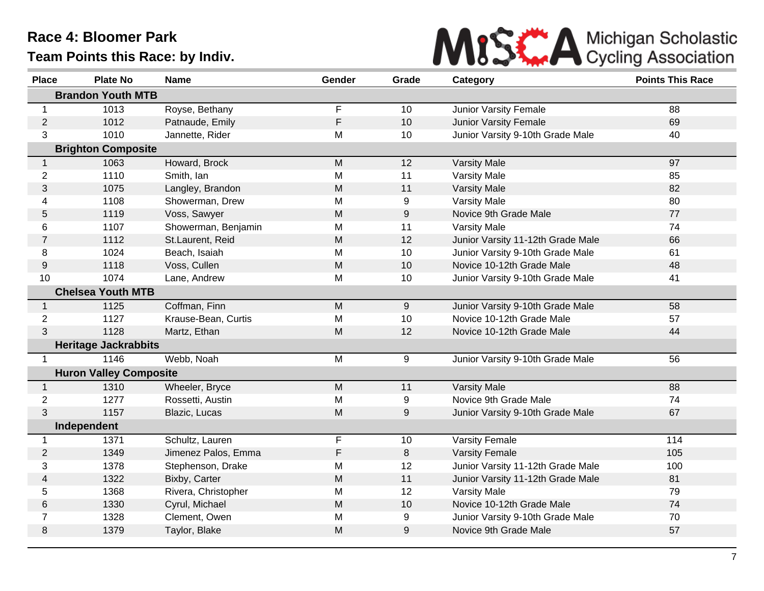

| <b>Place</b>   | <b>Plate No</b>               | <b>Name</b>         | Gender      | Grade  | Category                          | <b>Points This Race</b> |
|----------------|-------------------------------|---------------------|-------------|--------|-----------------------------------|-------------------------|
|                | <b>Brandon Youth MTB</b>      |                     |             |        |                                   |                         |
| 1              | 1013                          | Royse, Bethany      | F           | 10     | Junior Varsity Female             | 88                      |
| 2              | 1012                          | Patnaude, Emily     | F           | 10     | <b>Junior Varsity Female</b>      | 69                      |
| 3              | 1010                          | Jannette, Rider     | M           | 10     | Junior Varsity 9-10th Grade Male  | 40                      |
|                | <b>Brighton Composite</b>     |                     |             |        |                                   |                         |
| $\mathbf{1}$   | 1063                          | Howard, Brock       | M           | 12     | <b>Varsity Male</b>               | 97                      |
| $\overline{2}$ | 1110                          | Smith, Ian          | M           | 11     | <b>Varsity Male</b>               | 85                      |
| 3              | 1075                          | Langley, Brandon    | M           | 11     | <b>Varsity Male</b>               | 82                      |
| 4              | 1108                          | Showerman, Drew     | M           | 9      | <b>Varsity Male</b>               | 80                      |
| 5              | 1119                          | Voss, Sawyer        | M           | 9      | Novice 9th Grade Male             | 77                      |
| 6              | 1107                          | Showerman, Benjamin | M           | 11     | Varsity Male                      | 74                      |
| $\overline{7}$ | 1112                          | St.Laurent, Reid    | M           | 12     | Junior Varsity 11-12th Grade Male | 66                      |
| 8              | 1024                          | Beach, Isaiah       | M           | 10     | Junior Varsity 9-10th Grade Male  | 61                      |
| 9              | 1118                          | Voss, Cullen        | M           | 10     | Novice 10-12th Grade Male         | 48                      |
| 10             | 1074                          | Lane, Andrew        | M           | 10     | Junior Varsity 9-10th Grade Male  | 41                      |
|                | <b>Chelsea Youth MTB</b>      |                     |             |        |                                   |                         |
| $\mathbf 1$    | 1125                          | Coffman, Finn       | M           | 9      | Junior Varsity 9-10th Grade Male  | 58                      |
| $\overline{2}$ | 1127                          | Krause-Bean, Curtis | M           | 10     | Novice 10-12th Grade Male         | 57                      |
| 3              | 1128                          | Martz, Ethan        | M           | 12     | Novice 10-12th Grade Male         | 44                      |
|                | <b>Heritage Jackrabbits</b>   |                     |             |        |                                   |                         |
| $\mathbf 1$    | 1146                          | Webb, Noah          | M           | 9      | Junior Varsity 9-10th Grade Male  | 56                      |
|                | <b>Huron Valley Composite</b> |                     |             |        |                                   |                         |
| $\overline{1}$ | 1310                          | Wheeler, Bryce      | M           | 11     | <b>Varsity Male</b>               | 88                      |
| $\overline{2}$ | 1277                          | Rossetti, Austin    | M           | 9      | Novice 9th Grade Male             | 74                      |
| 3              | 1157                          | Blazic, Lucas       | M           | 9      | Junior Varsity 9-10th Grade Male  | 67                      |
|                | Independent                   |                     |             |        |                                   |                         |
| $\mathbf 1$    | 1371                          | Schultz, Lauren     | $\mathsf F$ | 10     | <b>Varsity Female</b>             | 114                     |
| $\overline{2}$ | 1349                          | Jimenez Palos, Emma | F           | $\, 8$ | <b>Varsity Female</b>             | 105                     |
| 3              | 1378                          | Stephenson, Drake   | M           | 12     | Junior Varsity 11-12th Grade Male | 100                     |
| 4              | 1322                          | Bixby, Carter       | M           | 11     | Junior Varsity 11-12th Grade Male | 81                      |
| 5              | 1368                          | Rivera, Christopher | M           | 12     | Varsity Male                      | 79                      |
| 6              | 1330                          | Cyrul, Michael      | M           | 10     | Novice 10-12th Grade Male         | 74                      |
| 7              | 1328                          | Clement, Owen       | M           | 9      | Junior Varsity 9-10th Grade Male  | 70                      |
| 8              | 1379                          | Taylor, Blake       | M           | 9      | Novice 9th Grade Male             | 57                      |
|                |                               |                     |             |        |                                   |                         |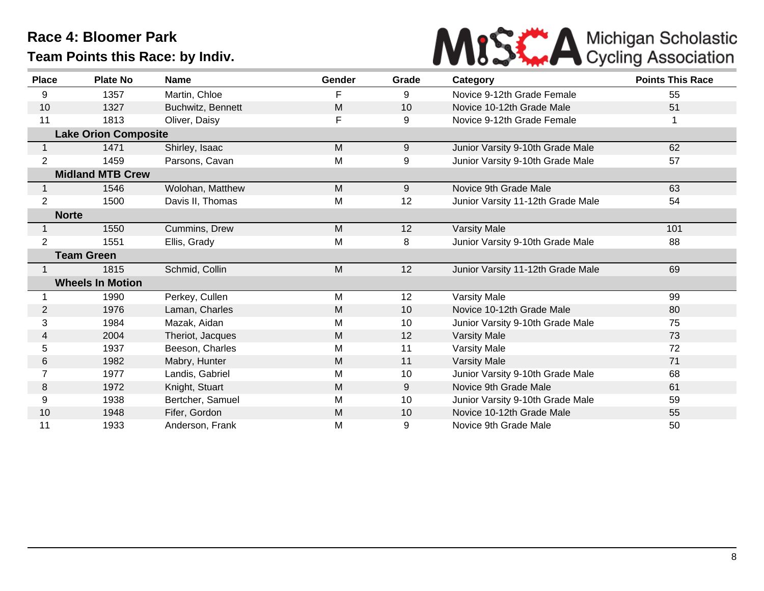

| <b>Place</b>   | <b>Plate No</b>             | <b>Name</b>       | Gender | Grade           | Category                          | <b>Points This Race</b> |
|----------------|-----------------------------|-------------------|--------|-----------------|-----------------------------------|-------------------------|
| 9              | 1357                        | Martin, Chloe     | F      | 9               | Novice 9-12th Grade Female        | 55                      |
| 10             | 1327                        | Buchwitz, Bennett | M      | 10              | Novice 10-12th Grade Male         | 51                      |
| 11             | 1813                        | Oliver, Daisy     | F      | 9               | Novice 9-12th Grade Female        |                         |
|                | <b>Lake Orion Composite</b> |                   |        |                 |                                   |                         |
|                | 1471                        | Shirley, Isaac    | M      | 9               | Junior Varsity 9-10th Grade Male  | 62                      |
| $\overline{2}$ | 1459                        | Parsons, Cavan    | M      | 9               | Junior Varsity 9-10th Grade Male  | 57                      |
|                | <b>Midland MTB Crew</b>     |                   |        |                 |                                   |                         |
|                | 1546                        | Wolohan, Matthew  | M      | 9               | Novice 9th Grade Male             | 63                      |
| $\overline{2}$ | 1500                        | Davis II, Thomas  | M      | 12              | Junior Varsity 11-12th Grade Male | 54                      |
| <b>Norte</b>   |                             |                   |        |                 |                                   |                         |
| 1              | 1550                        | Cummins, Drew     | M      | 12              | <b>Varsity Male</b>               | 101                     |
| 2              | 1551                        | Ellis, Grady      | Μ      | 8               | Junior Varsity 9-10th Grade Male  | 88                      |
|                | <b>Team Green</b>           |                   |        |                 |                                   |                         |
|                | 1815                        | Schmid, Collin    | M      | 12              | Junior Varsity 11-12th Grade Male | 69                      |
|                | <b>Wheels In Motion</b>     |                   |        |                 |                                   |                         |
|                | 1990                        | Perkey, Cullen    | M      | 12              | <b>Varsity Male</b>               | 99                      |
| 2              | 1976                        | Laman, Charles    | M      | 10 <sup>°</sup> | Novice 10-12th Grade Male         | 80                      |
| 3              | 1984                        | Mazak, Aidan      | M      | 10              | Junior Varsity 9-10th Grade Male  | 75                      |
| 4              | 2004                        | Theriot, Jacques  | M      | 12              | <b>Varsity Male</b>               | 73                      |
| 5              | 1937                        | Beeson, Charles   | Μ      | 11              | Varsity Male                      | 72                      |
| 6              | 1982                        | Mabry, Hunter     | M      | 11              | <b>Varsity Male</b>               | 71                      |
|                | 1977                        | Landis, Gabriel   | М      | 10              | Junior Varsity 9-10th Grade Male  | 68                      |
| 8              | 1972                        | Knight, Stuart    | M      | 9               | Novice 9th Grade Male             | 61                      |
| 9              | 1938                        | Bertcher, Samuel  | Μ      | 10              | Junior Varsity 9-10th Grade Male  | 59                      |
| 10             | 1948                        | Fifer, Gordon     | M      | 10              | Novice 10-12th Grade Male         | 55                      |
| 11             | 1933                        | Anderson, Frank   | M      | 9               | Novice 9th Grade Male             | 50                      |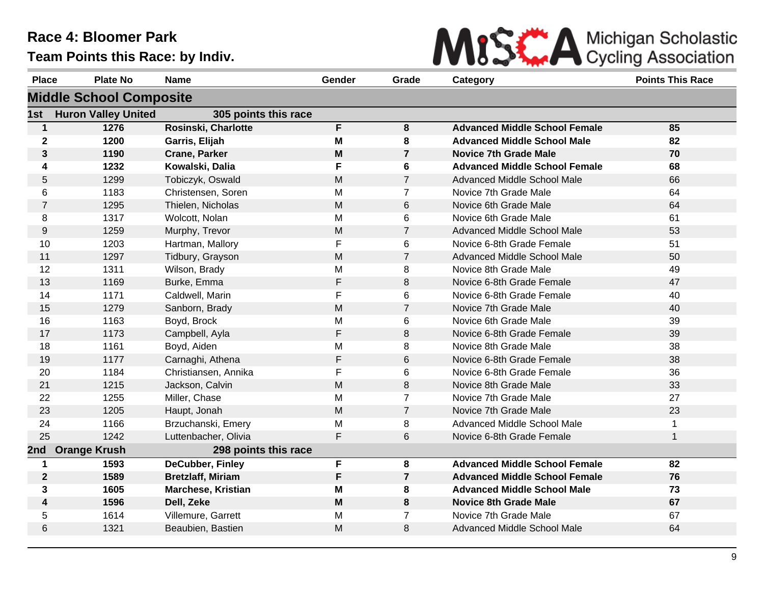

| <b>Place</b>   | <b>Plate No</b>                | <b>Name</b>               | Gender | Grade          | Category                             | <b>Points This Race</b> |
|----------------|--------------------------------|---------------------------|--------|----------------|--------------------------------------|-------------------------|
|                | <b>Middle School Composite</b> |                           |        |                |                                      |                         |
| 1st            | <b>Huron Valley United</b>     | 305 points this race      |        |                |                                      |                         |
| $\mathbf{1}$   | 1276                           | Rosinski, Charlotte       | F      | 8              | <b>Advanced Middle School Female</b> | 85                      |
| $\mathbf{2}$   | 1200                           | Garris, Elijah            | M      | 8              | <b>Advanced Middle School Male</b>   | 82                      |
| 3              | 1190                           | <b>Crane, Parker</b>      | M      | $\overline{7}$ | <b>Novice 7th Grade Male</b>         | 70                      |
| 4              | 1232                           | Kowalski, Dalia           | F      | 6              | <b>Advanced Middle School Female</b> | 68                      |
| $\mathbf 5$    | 1299                           | Tobiczyk, Oswald          | M      | $\overline{7}$ | Advanced Middle School Male          | 66                      |
| 6              | 1183                           | Christensen, Soren        | M      | $\overline{7}$ | Novice 7th Grade Male                | 64                      |
| $\overline{7}$ | 1295                           | Thielen, Nicholas         | M      | 6              | Novice 6th Grade Male                | 64                      |
| 8              | 1317                           | Wolcott, Nolan            | M      | 6              | Novice 6th Grade Male                | 61                      |
| 9              | 1259                           | Murphy, Trevor            | M      | $\overline{7}$ | Advanced Middle School Male          | 53                      |
| 10             | 1203                           | Hartman, Mallory          | F      | 6              | Novice 6-8th Grade Female            | 51                      |
| 11             | 1297                           | Tidbury, Grayson          | M      | $\overline{7}$ | Advanced Middle School Male          | 50                      |
| 12             | 1311                           | Wilson, Brady             | М      | 8              | Novice 8th Grade Male                | 49                      |
| 13             | 1169                           | Burke, Emma               | F      | 8              | Novice 6-8th Grade Female            | 47                      |
| 14             | 1171                           | Caldwell, Marin           | F      | 6              | Novice 6-8th Grade Female            | 40                      |
| 15             | 1279                           | Sanborn, Brady            | M      | $\overline{7}$ | Novice 7th Grade Male                | 40                      |
| 16             | 1163                           | Boyd, Brock               | M      | 6              | Novice 6th Grade Male                | 39                      |
| 17             | 1173                           | Campbell, Ayla            | F      | 8              | Novice 6-8th Grade Female            | 39                      |
| 18             | 1161                           | Boyd, Aiden               | M      | 8              | Novice 8th Grade Male                | 38                      |
| 19             | 1177                           | Carnaghi, Athena          | F      | 6              | Novice 6-8th Grade Female            | 38                      |
| 20             | 1184                           | Christiansen, Annika      | F      | 6              | Novice 6-8th Grade Female            | 36                      |
| 21             | 1215                           | Jackson, Calvin           | M      | 8              | Novice 8th Grade Male                | 33                      |
| 22             | 1255                           | Miller, Chase             | M      | $\overline{7}$ | Novice 7th Grade Male                | 27                      |
| 23             | 1205                           | Haupt, Jonah              | M      | $\overline{7}$ | Novice 7th Grade Male                | 23                      |
| 24             | 1166                           | Brzuchanski, Emery        | M      | 8              | Advanced Middle School Male          | 1                       |
| 25             | 1242                           | Luttenbacher, Olivia      | F      | 6              | Novice 6-8th Grade Female            | $\mathbf{1}$            |
| 2nd            | <b>Orange Krush</b>            | 298 points this race      |        |                |                                      |                         |
| 1              | 1593                           | <b>DeCubber, Finley</b>   | F      | 8              | <b>Advanced Middle School Female</b> | 82                      |
| $\mathbf 2$    | 1589                           | <b>Bretzlaff, Miriam</b>  | F      | $\overline{7}$ | <b>Advanced Middle School Female</b> | 76                      |
| 3              | 1605                           | <b>Marchese, Kristian</b> | M      | 8              | <b>Advanced Middle School Male</b>   | 73                      |
| 4              | 1596                           | Dell, Zeke                | M      | 8              | <b>Novice 8th Grade Male</b>         | 67                      |
| 5              | 1614                           | Villemure, Garrett        | M      | $\overline{7}$ | Novice 7th Grade Male                | 67                      |
| 6              | 1321                           | Beaubien, Bastien         | M      | 8              | <b>Advanced Middle School Male</b>   | 64                      |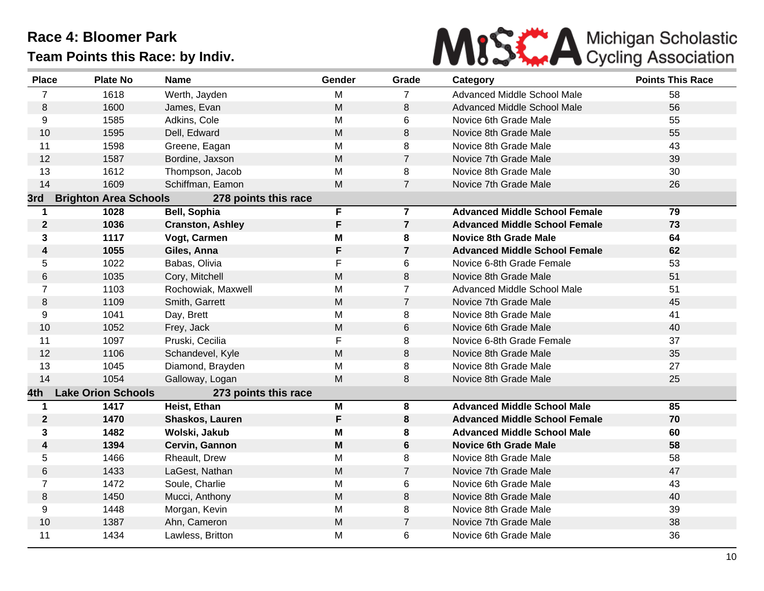

| <b>Place</b>     | <b>Plate No</b>              | <b>Name</b>             | Gender | Grade                   | Category                             | <b>Points This Race</b> |
|------------------|------------------------------|-------------------------|--------|-------------------------|--------------------------------------|-------------------------|
| $\overline{7}$   | 1618                         | Werth, Jayden           | M      | $\overline{7}$          | Advanced Middle School Male          | 58                      |
| 8                | 1600                         | James, Evan             | M      | 8                       | Advanced Middle School Male          | 56                      |
| 9                | 1585                         | Adkins, Cole            | M      | 6                       | Novice 6th Grade Male                | 55                      |
| 10               | 1595                         | Dell, Edward            | M      | 8                       | Novice 8th Grade Male                | 55                      |
| 11               | 1598                         | Greene, Eagan           | Μ      | 8                       | Novice 8th Grade Male                | 43                      |
| 12               | 1587                         | Bordine, Jaxson         | M      | $\overline{7}$          | Novice 7th Grade Male                | 39                      |
| 13               | 1612                         | Thompson, Jacob         | Μ      | 8                       | Novice 8th Grade Male                | 30                      |
| 14               | 1609                         | Schiffman, Eamon        | M      | $\overline{7}$          | Novice 7th Grade Male                | 26                      |
| 3rd              | <b>Brighton Area Schools</b> | 278 points this race    |        |                         |                                      |                         |
| $\mathbf 1$      | 1028                         | Bell, Sophia            | F      | $\overline{\mathbf{r}}$ | <b>Advanced Middle School Female</b> | 79                      |
| $\boldsymbol{2}$ | 1036                         | <b>Cranston, Ashley</b> | F      | $\overline{7}$          | <b>Advanced Middle School Female</b> | 73                      |
| 3                | 1117                         | Vogt, Carmen            | Μ      | 8                       | <b>Novice 8th Grade Male</b>         | 64                      |
| 4                | 1055                         | Giles, Anna             | F      | $\overline{7}$          | <b>Advanced Middle School Female</b> | 62                      |
| 5                | 1022                         | Babas, Olivia           | F      | 6                       | Novice 6-8th Grade Female            | 53                      |
| 6                | 1035                         | Cory, Mitchell          | M      | 8                       | Novice 8th Grade Male                | 51                      |
| 7                | 1103                         | Rochowiak, Maxwell      | M      | $\overline{7}$          | Advanced Middle School Male          | 51                      |
| 8                | 1109                         | Smith, Garrett          | M      | $\overline{7}$          | Novice 7th Grade Male                | 45                      |
| 9                | 1041                         | Day, Brett              | M      | 8                       | Novice 8th Grade Male                | 41                      |
| 10               | 1052                         | Frey, Jack              | M      | 6                       | Novice 6th Grade Male                | 40                      |
| 11               | 1097                         | Pruski, Cecilia         | F      | 8                       | Novice 6-8th Grade Female            | 37                      |
| 12               | 1106                         | Schandevel, Kyle        | M      | 8                       | Novice 8th Grade Male                | 35                      |
| 13               | 1045                         | Diamond, Brayden        | M      | 8                       | Novice 8th Grade Male                | 27                      |
| 14               | 1054                         | Galloway, Logan         | M      | 8                       | Novice 8th Grade Male                | 25                      |
| 4th              | <b>Lake Orion Schools</b>    | 273 points this race    |        |                         |                                      |                         |
| $\mathbf 1$      | 1417                         | Heist, Ethan            | Μ      | 8                       | <b>Advanced Middle School Male</b>   | 85                      |
| $\mathbf{2}$     | 1470                         | Shaskos, Lauren         | F      | 8                       | <b>Advanced Middle School Female</b> | 70                      |
| 3                | 1482                         | Wolski, Jakub           | Μ      | 8                       | <b>Advanced Middle School Male</b>   | 60                      |
| 4                | 1394                         | Cervin, Gannon          | M      | 6                       | <b>Novice 6th Grade Male</b>         | 58                      |
| 5                | 1466                         | Rheault, Drew           | M      | 8                       | Novice 8th Grade Male                | 58                      |
| $\,$ 6           | 1433                         | LaGest, Nathan          | M      | $\overline{7}$          | Novice 7th Grade Male                | 47                      |
| $\overline{7}$   | 1472                         | Soule, Charlie          | M      | 6                       | Novice 6th Grade Male                | 43                      |
| 8                | 1450                         | Mucci, Anthony          | M      | 8                       | Novice 8th Grade Male                | 40                      |
| 9                | 1448                         | Morgan, Kevin           | M      | 8                       | Novice 8th Grade Male                | 39                      |
| 10               | 1387                         | Ahn, Cameron            | M      | $\overline{7}$          | Novice 7th Grade Male                | 38                      |
| 11               | 1434                         | Lawless, Britton        | M      | 6                       | Novice 6th Grade Male                | 36                      |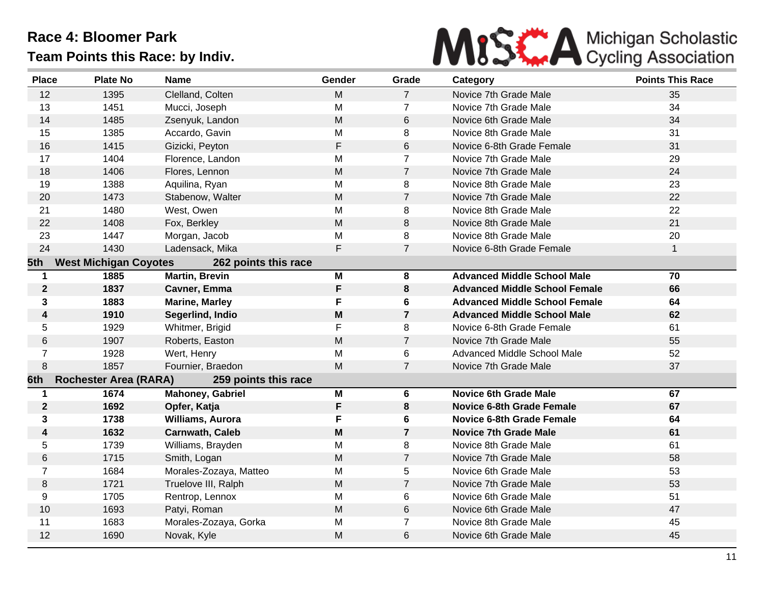# MISK A Michigan Scholastic

| <b>Place</b>   | <b>Plate No</b>              | Name                    | Gender      | Grade          | Category                             | <b>Points This Race</b> |
|----------------|------------------------------|-------------------------|-------------|----------------|--------------------------------------|-------------------------|
| 12             | 1395                         | Clelland, Colten        | M           | $\overline{7}$ | Novice 7th Grade Male                | 35                      |
| 13             | 1451                         | Mucci, Joseph           | M           | $\overline{7}$ | Novice 7th Grade Male                | 34                      |
| 14             | 1485                         | Zsenyuk, Landon         | M           | 6              | Novice 6th Grade Male                | 34                      |
| 15             | 1385                         | Accardo, Gavin          | M           | 8              | Novice 8th Grade Male                | 31                      |
| 16             | 1415                         | Gizicki, Peyton         | $\mathsf F$ | 6              | Novice 6-8th Grade Female            | 31                      |
| 17             | 1404                         | Florence, Landon        | M           | $\overline{7}$ | Novice 7th Grade Male                | 29                      |
| 18             | 1406                         | Flores, Lennon          | M           | $\overline{7}$ | Novice 7th Grade Male                | 24                      |
| 19             | 1388                         | Aquilina, Ryan          | M           | 8              | Novice 8th Grade Male                | 23                      |
| 20             | 1473                         | Stabenow, Walter        | M           | $\overline{7}$ | Novice 7th Grade Male                | 22                      |
| 21             | 1480                         | West, Owen              | M           | 8              | Novice 8th Grade Male                | 22                      |
| 22             | 1408                         | Fox, Berkley            | M           | 8              | Novice 8th Grade Male                | 21                      |
| 23             | 1447                         | Morgan, Jacob           | M           | 8              | Novice 8th Grade Male                | 20                      |
| 24             | 1430                         | Ladensack, Mika         | F           | $\overline{7}$ | Novice 6-8th Grade Female            | $\mathbf{1}$            |
| 5th            | <b>West Michigan Coyotes</b> | 262 points this race    |             |                |                                      |                         |
| 1              | 1885                         | <b>Martin, Brevin</b>   | M           | 8              | <b>Advanced Middle School Male</b>   | 70                      |
| $\mathbf 2$    | 1837                         | Cavner, Emma            | F           | 8              | <b>Advanced Middle School Female</b> | 66                      |
| 3              | 1883                         | <b>Marine, Marley</b>   | F           | 6              | <b>Advanced Middle School Female</b> | 64                      |
| 4              | 1910                         | Segerlind, Indio        | M           | $\overline{7}$ | <b>Advanced Middle School Male</b>   | 62                      |
| 5              | 1929                         | Whitmer, Brigid         | F           | 8              | Novice 6-8th Grade Female            | 61                      |
| 6              | 1907                         | Roberts, Easton         | M           | $\overline{7}$ | Novice 7th Grade Male                | 55                      |
| $\overline{7}$ | 1928                         | Wert, Henry             | M           | 6              | Advanced Middle School Male          | 52                      |
| 8              | 1857                         | Fournier, Braedon       | M           | $\overline{7}$ | Novice 7th Grade Male                | 37                      |
| 6th            | <b>Rochester Area (RARA)</b> | 259 points this race    |             |                |                                      |                         |
| 1              | 1674                         | <b>Mahoney, Gabriel</b> | M           | 6              | <b>Novice 6th Grade Male</b>         | 67                      |
| $\mathbf{2}$   | 1692                         | Opfer, Katja            | F           | 8              | <b>Novice 6-8th Grade Female</b>     | 67                      |
| 3              | 1738                         | Williams, Aurora        | F           | 6              | <b>Novice 6-8th Grade Female</b>     | 64                      |
| 4              | 1632                         | <b>Carnwath, Caleb</b>  | M           | $\overline{7}$ | <b>Novice 7th Grade Male</b>         | 61                      |
| 5              | 1739                         | Williams, Brayden       | M           | 8              | Novice 8th Grade Male                | 61                      |
| 6              | 1715                         | Smith, Logan            | M           | $\overline{7}$ | Novice 7th Grade Male                | 58                      |
| $\overline{7}$ | 1684                         | Morales-Zozaya, Matteo  | M           | 5              | Novice 6th Grade Male                | 53                      |
| 8              | 1721                         | Truelove III, Ralph     | M           | $\overline{7}$ | Novice 7th Grade Male                | 53                      |
| 9              | 1705                         | Rentrop, Lennox         | M           | 6              | Novice 6th Grade Male                | 51                      |
| 10             | 1693                         | Patyi, Roman            | M           | 6              | Novice 6th Grade Male                | 47                      |
| 11             | 1683                         | Morales-Zozaya, Gorka   | M           | $\overline{7}$ | Novice 8th Grade Male                | 45                      |
| 12             | 1690                         | Novak, Kyle             | M           | 6              | Novice 6th Grade Male                | 45                      |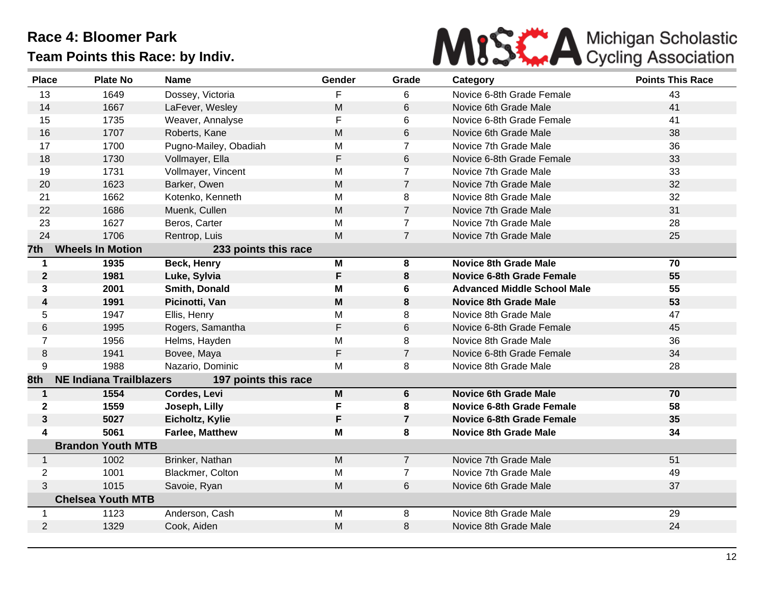

| <b>Place</b>     | <b>Plate No</b>                | <b>Name</b>            | Gender                                                                                | Grade          | Category                           | <b>Points This Race</b> |
|------------------|--------------------------------|------------------------|---------------------------------------------------------------------------------------|----------------|------------------------------------|-------------------------|
| 13               | 1649                           | Dossey, Victoria       | F                                                                                     | 6              | Novice 6-8th Grade Female          | 43                      |
| 14               | 1667                           | LaFever, Wesley        | M                                                                                     | 6              | Novice 6th Grade Male              | 41                      |
| 15               | 1735                           | Weaver, Annalyse       | F                                                                                     | 6              | Novice 6-8th Grade Female          | 41                      |
| 16               | 1707                           | Roberts, Kane          | M                                                                                     | 6              | Novice 6th Grade Male              | 38                      |
| 17               | 1700                           | Pugno-Mailey, Obadiah  | M                                                                                     | 7              | Novice 7th Grade Male              | 36                      |
| 18               | 1730                           | Vollmayer, Ella        | F                                                                                     | 6              | Novice 6-8th Grade Female          | 33                      |
| 19               | 1731                           | Vollmayer, Vincent     | M                                                                                     | $\overline{7}$ | Novice 7th Grade Male              | 33                      |
| 20               | 1623                           | Barker, Owen           | M                                                                                     | $\overline{7}$ | Novice 7th Grade Male              | 32                      |
| 21               | 1662                           | Kotenko, Kenneth       | M                                                                                     | 8              | Novice 8th Grade Male              | 32                      |
| 22               | 1686                           | Muenk, Cullen          | M                                                                                     | $\overline{7}$ | Novice 7th Grade Male              | 31                      |
| 23               | 1627                           | Beros, Carter          | M                                                                                     | $\overline{7}$ | Novice 7th Grade Male              | 28                      |
| 24               | 1706                           | Rentrop, Luis          | M                                                                                     | $\overline{7}$ | Novice 7th Grade Male              | 25                      |
| 7th              | <b>Wheels In Motion</b>        | 233 points this race   |                                                                                       |                |                                    |                         |
| $\mathbf 1$      | 1935                           | Beck, Henry            | M                                                                                     | 8              | <b>Novice 8th Grade Male</b>       | 70                      |
| $\boldsymbol{2}$ | 1981                           | Luke, Sylvia           | F                                                                                     | 8              | <b>Novice 6-8th Grade Female</b>   | 55                      |
| 3                | 2001                           | Smith, Donald          | M                                                                                     | 6              | <b>Advanced Middle School Male</b> | 55                      |
| 4                | 1991                           | Picinotti, Van         | M                                                                                     | 8              | <b>Novice 8th Grade Male</b>       | 53                      |
| 5                | 1947                           | Ellis, Henry           | M                                                                                     | 8              | Novice 8th Grade Male              | 47                      |
| 6                | 1995                           | Rogers, Samantha       | F                                                                                     | 6              | Novice 6-8th Grade Female          | 45                      |
| $\overline{7}$   | 1956                           | Helms, Hayden          | M                                                                                     | 8              | Novice 8th Grade Male              | 36                      |
| 8                | 1941                           | Bovee, Maya            | F                                                                                     | $\overline{7}$ | Novice 6-8th Grade Female          | 34                      |
| 9                | 1988                           | Nazario, Dominic       | M                                                                                     | 8              | Novice 8th Grade Male              | 28                      |
| 8th              | <b>NE Indiana Trailblazers</b> | 197 points this race   |                                                                                       |                |                                    |                         |
| $\mathbf 1$      | 1554                           | Cordes, Levi           | $\mathsf{M}% _{T}=\mathsf{M}_{T}\!\left( a,b\right) ,\ \mathsf{M}_{T}=\mathsf{M}_{T}$ | 6              | <b>Novice 6th Grade Male</b>       | 70                      |
| $\mathbf 2$      | 1559                           | Joseph, Lilly          | F                                                                                     | 8              | <b>Novice 6-8th Grade Female</b>   | 58                      |
| $\mathbf{3}$     | 5027                           | Eicholtz, Kylie        | F                                                                                     | $\overline{7}$ | <b>Novice 6-8th Grade Female</b>   | 35                      |
| 4                | 5061                           | <b>Farlee, Matthew</b> | M                                                                                     | 8              | <b>Novice 8th Grade Male</b>       | 34                      |
|                  | <b>Brandon Youth MTB</b>       |                        |                                                                                       |                |                                    |                         |
| $\mathbf{1}$     | 1002                           | Brinker, Nathan        | M                                                                                     | $\overline{7}$ | Novice 7th Grade Male              | 51                      |
| $\overline{2}$   | 1001                           | Blackmer, Colton       | M                                                                                     | $\overline{7}$ | Novice 7th Grade Male              | 49                      |
| 3                | 1015                           | Savoie, Ryan           | M                                                                                     | 6              | Novice 6th Grade Male              | 37                      |
|                  | <b>Chelsea Youth MTB</b>       |                        |                                                                                       |                |                                    |                         |
| 1                | 1123                           | Anderson, Cash         | M                                                                                     | 8              | Novice 8th Grade Male              | 29                      |
| 2                | 1329                           | Cook, Aiden            | M                                                                                     | 8              | Novice 8th Grade Male              | 24                      |
|                  |                                |                        |                                                                                       |                |                                    |                         |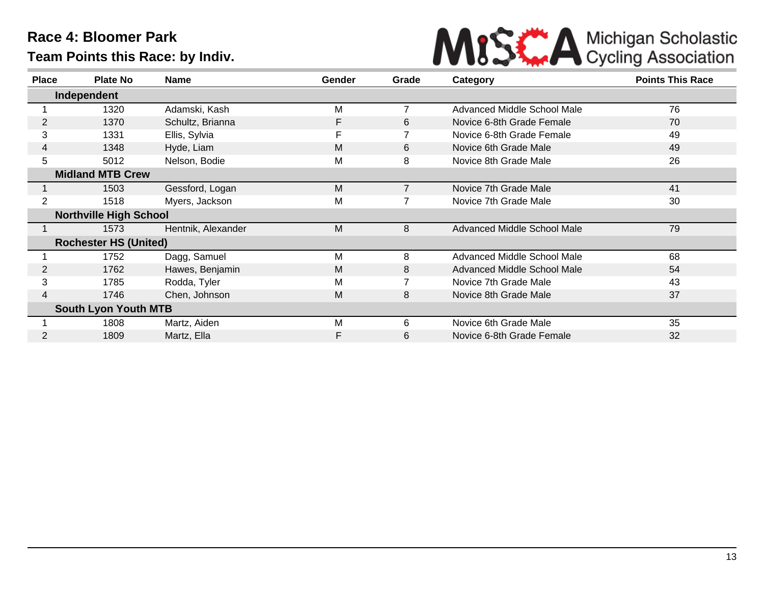

| <b>Place</b>   | <b>Plate No</b>               | Name               | <b>Gender</b> | Grade          | Category                    | <b>Points This Race</b> |
|----------------|-------------------------------|--------------------|---------------|----------------|-----------------------------|-------------------------|
| Independent    |                               |                    |               |                |                             |                         |
|                | 1320                          | Adamski, Kash      | M             | $\overline{7}$ | Advanced Middle School Male | 76                      |
| 2              | 1370                          | Schultz, Brianna   | F             | 6              | Novice 6-8th Grade Female   | 70                      |
| 3              | 1331                          | Ellis, Sylvia      | F             |                | Novice 6-8th Grade Female   | 49                      |
| 4              | 1348                          | Hyde, Liam         | M             | 6              | Novice 6th Grade Male       | 49                      |
| 5              | 5012                          | Nelson, Bodie      | M             | 8              | Novice 8th Grade Male       | 26                      |
|                | <b>Midland MTB Crew</b>       |                    |               |                |                             |                         |
|                | 1503                          | Gessford, Logan    | M             |                | Novice 7th Grade Male       | 41                      |
| $\overline{2}$ | 1518                          | Myers, Jackson     | M             |                | Novice 7th Grade Male       | 30                      |
|                | <b>Northville High School</b> |                    |               |                |                             |                         |
|                | 1573                          | Hentnik, Alexander | M             | 8              | Advanced Middle School Male | 79                      |
|                | <b>Rochester HS (United)</b>  |                    |               |                |                             |                         |
|                | 1752                          | Dagg, Samuel       | M             | 8              | Advanced Middle School Male | 68                      |
| $\overline{2}$ | 1762                          | Hawes, Benjamin    | M             | 8              | Advanced Middle School Male | 54                      |
| 3              | 1785                          | Rodda, Tyler       | M             |                | Novice 7th Grade Male       | 43                      |
| 4              | 1746                          | Chen, Johnson      | M             | 8              | Novice 8th Grade Male       | 37                      |
|                | <b>South Lyon Youth MTB</b>   |                    |               |                |                             |                         |
|                | 1808                          | Martz, Aiden       | M             | 6              | Novice 6th Grade Male       | 35                      |
|                | 1809                          | Martz, Ella        | F             | 6              | Novice 6-8th Grade Female   | 32                      |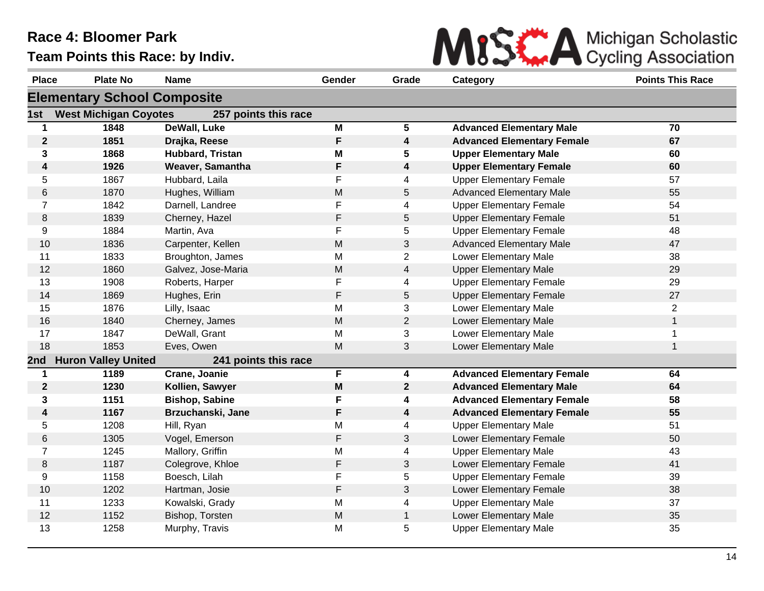

| <b>Place</b>                       | <b>Plate No</b>              | <b>Name</b>           | Gender | Grade                   | Category                          | <b>Points This Race</b> |  |  |
|------------------------------------|------------------------------|-----------------------|--------|-------------------------|-----------------------------------|-------------------------|--|--|
| <b>Elementary School Composite</b> |                              |                       |        |                         |                                   |                         |  |  |
| 1st                                | <b>West Michigan Coyotes</b> | 257 points this race  |        |                         |                                   |                         |  |  |
| 1                                  | 1848                         | <b>DeWall, Luke</b>   | M      | $\overline{5}$          | <b>Advanced Elementary Male</b>   | 70                      |  |  |
| $\boldsymbol{2}$                   | 1851                         | Drajka, Reese         | F      | $\overline{\mathbf{4}}$ | <b>Advanced Elementary Female</b> | 67                      |  |  |
| 3                                  | 1868                         | Hubbard, Tristan      | M      | 5                       | <b>Upper Elementary Male</b>      | 60                      |  |  |
| 4                                  | 1926                         | Weaver, Samantha      | F      | $\overline{\mathbf{4}}$ | <b>Upper Elementary Female</b>    | 60                      |  |  |
| 5                                  | 1867                         | Hubbard, Laila        | F      | 4                       | <b>Upper Elementary Female</b>    | 57                      |  |  |
| $\,6$                              | 1870                         | Hughes, William       | M      | 5                       | <b>Advanced Elementary Male</b>   | 55                      |  |  |
| $\overline{7}$                     | 1842                         | Darnell, Landree      | F      | $\overline{4}$          | <b>Upper Elementary Female</b>    | 54                      |  |  |
| 8                                  | 1839                         | Cherney, Hazel        | F      | 5                       | <b>Upper Elementary Female</b>    | 51                      |  |  |
| 9                                  | 1884                         | Martin, Ava           | F      | 5                       | <b>Upper Elementary Female</b>    | 48                      |  |  |
| 10                                 | 1836                         | Carpenter, Kellen     | M      | 3                       | <b>Advanced Elementary Male</b>   | 47                      |  |  |
| 11                                 | 1833                         | Broughton, James      | M      | $\overline{2}$          | Lower Elementary Male             | 38                      |  |  |
| 12                                 | 1860                         | Galvez, Jose-Maria    | M      | $\overline{4}$          | <b>Upper Elementary Male</b>      | 29                      |  |  |
| 13                                 | 1908                         | Roberts, Harper       | F      | 4                       | <b>Upper Elementary Female</b>    | 29                      |  |  |
| 14                                 | 1869                         | Hughes, Erin          | F      | 5                       | <b>Upper Elementary Female</b>    | 27                      |  |  |
| 15                                 | 1876                         | Lilly, Isaac          | M      | 3                       | Lower Elementary Male             | $\overline{c}$          |  |  |
| 16                                 | 1840                         | Cherney, James        | M      | $\overline{2}$          | Lower Elementary Male             | $\mathbf{1}$            |  |  |
| 17                                 | 1847                         | DeWall, Grant         | M      | 3                       | Lower Elementary Male             | 1                       |  |  |
| 18                                 | 1853                         | Eves, Owen            | M      | 3                       | Lower Elementary Male             | $\mathbf{1}$            |  |  |
| 2nd                                | <b>Huron Valley United</b>   | 241 points this race  |        |                         |                                   |                         |  |  |
| $\mathbf 1$                        | 1189                         | Crane, Joanie         | F      | $\overline{\mathbf{4}}$ | <b>Advanced Elementary Female</b> | 64                      |  |  |
| $\mathbf{2}$                       | 1230                         | Kollien, Sawyer       | M      | $\mathbf{2}$            | <b>Advanced Elementary Male</b>   | 64                      |  |  |
| 3                                  | 1151                         | <b>Bishop, Sabine</b> | F      | 4                       | <b>Advanced Elementary Female</b> | 58                      |  |  |
| $\boldsymbol{4}$                   | 1167                         | Brzuchanski, Jane     | F      | $\overline{\mathbf{4}}$ | <b>Advanced Elementary Female</b> | 55                      |  |  |
| 5                                  | 1208                         | Hill, Ryan            | M      | 4                       | <b>Upper Elementary Male</b>      | 51                      |  |  |
| $\,6$                              | 1305                         | Vogel, Emerson        | F      | 3                       | Lower Elementary Female           | 50                      |  |  |
| $\overline{7}$                     | 1245                         | Mallory, Griffin      | M      | 4                       | <b>Upper Elementary Male</b>      | 43                      |  |  |
| $\,8\,$                            | 1187                         | Colegrove, Khloe      | F      | $\sqrt{3}$              | Lower Elementary Female           | 41                      |  |  |
| 9                                  | 1158                         | Boesch, Lilah         | F      | 5                       | <b>Upper Elementary Female</b>    | 39                      |  |  |
| 10                                 | 1202                         | Hartman, Josie        | F      | 3                       | <b>Lower Elementary Female</b>    | 38                      |  |  |
| 11                                 | 1233                         | Kowalski, Grady       | M      | 4                       | <b>Upper Elementary Male</b>      | 37                      |  |  |
| 12                                 | 1152                         | Bishop, Torsten       | M      | $\mathbf{1}$            | Lower Elementary Male             | 35                      |  |  |
| 13                                 | 1258                         | Murphy, Travis        | M      | 5                       | <b>Upper Elementary Male</b>      | 35                      |  |  |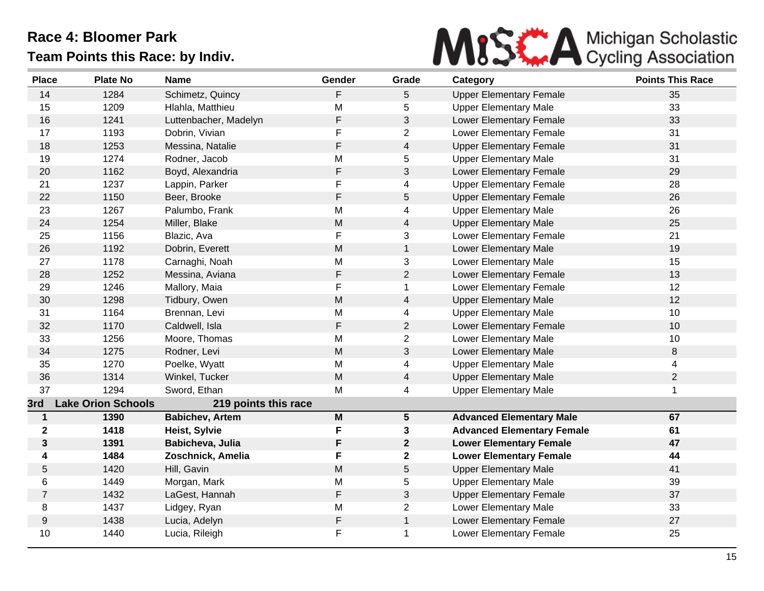

| <b>Place</b>   | <b>Plate No</b>           | <b>Name</b>            | Gender      | Grade           | Category                          | <b>Points This Race</b> |
|----------------|---------------------------|------------------------|-------------|-----------------|-----------------------------------|-------------------------|
| 14             | 1284                      | Schimetz, Quincy       | F           | 5               | <b>Upper Elementary Female</b>    | 35                      |
| 15             | 1209                      | Hlahla, Matthieu       | M           | 5               | <b>Upper Elementary Male</b>      | 33                      |
| 16             | 1241                      | Luttenbacher, Madelyn  | $\mathsf F$ | 3               | Lower Elementary Female           | 33                      |
| 17             | 1193                      | Dobrin, Vivian         | F           | 2               | Lower Elementary Female           | 31                      |
| 18             | 1253                      | Messina, Natalie       | F           | 4               | <b>Upper Elementary Female</b>    | 31                      |
| 19             | 1274                      | Rodner, Jacob          | M           | 5               | <b>Upper Elementary Male</b>      | 31                      |
| 20             | 1162                      | Boyd, Alexandria       | F           | 3               | <b>Lower Elementary Female</b>    | 29                      |
| 21             | 1237                      | Lappin, Parker         | F           | 4               | <b>Upper Elementary Female</b>    | 28                      |
| 22             | 1150                      | Beer, Brooke           | F           | 5               | <b>Upper Elementary Female</b>    | 26                      |
| 23             | 1267                      | Palumbo, Frank         | Μ           | 4               | <b>Upper Elementary Male</b>      | 26                      |
| 24             | 1254                      | Miller, Blake          | M           | $\overline{4}$  | <b>Upper Elementary Male</b>      | 25                      |
| 25             | 1156                      | Blazic, Ava            | $\mathsf F$ | 3               | Lower Elementary Female           | 21                      |
| 26             | 1192                      | Dobrin, Everett        | M           | $\mathbf{1}$    | Lower Elementary Male             | 19                      |
| 27             | 1178                      | Carnaghi, Noah         | Μ           | 3               | Lower Elementary Male             | 15                      |
| 28             | 1252                      | Messina, Aviana        | $\mathsf F$ | $\overline{2}$  | <b>Lower Elementary Female</b>    | 13                      |
| 29             | 1246                      | Mallory, Maia          | $\mathsf F$ | $\mathbf{1}$    | <b>Lower Elementary Female</b>    | 12                      |
| 30             | 1298                      | Tidbury, Owen          | M           | 4               | <b>Upper Elementary Male</b>      | 12                      |
| 31             | 1164                      | Brennan, Levi          | M           | 4               | <b>Upper Elementary Male</b>      | 10                      |
| 32             | 1170                      | Caldwell, Isla         | F           | $\overline{2}$  | Lower Elementary Female           | 10                      |
| 33             | 1256                      | Moore, Thomas          | M           | $\overline{c}$  | Lower Elementary Male             | 10                      |
| 34             | 1275                      | Rodner, Levi           | M           | 3               | Lower Elementary Male             | 8                       |
| 35             | 1270                      | Poelke, Wyatt          | Μ           | 4               | <b>Upper Elementary Male</b>      | 4                       |
| 36             | 1314                      | Winkel, Tucker         | M           | $\overline{4}$  | <b>Upper Elementary Male</b>      | $\overline{2}$          |
| 37             | 1294                      | Sword, Ethan           | М           | 4               | <b>Upper Elementary Male</b>      | 1                       |
| 3rd            | <b>Lake Orion Schools</b> | 219 points this race   |             |                 |                                   |                         |
| $\mathbf{1}$   | 1390                      | <b>Babichev, Artem</b> | M           | $5\phantom{.0}$ | <b>Advanced Elementary Male</b>   | 67                      |
| $\mathbf 2$    | 1418                      | Heist, Sylvie          | F           | 3               | <b>Advanced Elementary Female</b> | 61                      |
| 3              | 1391                      | Babicheva, Julia       | F           | $\mathbf{2}$    | <b>Lower Elementary Female</b>    | 47                      |
| 4              | 1484                      | Zoschnick, Amelia      | F           | $\mathbf{2}$    | <b>Lower Elementary Female</b>    | 44                      |
| 5              | 1420                      | Hill, Gavin            | M           | 5               | <b>Upper Elementary Male</b>      | 41                      |
| 6              | 1449                      | Morgan, Mark           | Μ           | 5               | <b>Upper Elementary Male</b>      | 39                      |
| $\overline{7}$ | 1432                      | LaGest, Hannah         | $\mathsf F$ | 3               | <b>Upper Elementary Female</b>    | 37                      |
| 8              | 1437                      | Lidgey, Ryan           | M           | $\overline{2}$  | Lower Elementary Male             | 33                      |
| 9              | 1438                      | Lucia, Adelyn          | $\mathsf F$ | $\mathbf{1}$    | Lower Elementary Female           | 27                      |
| 10             | 1440                      | Lucia, Rileigh         | F           | 1               | <b>Lower Elementary Female</b>    | 25                      |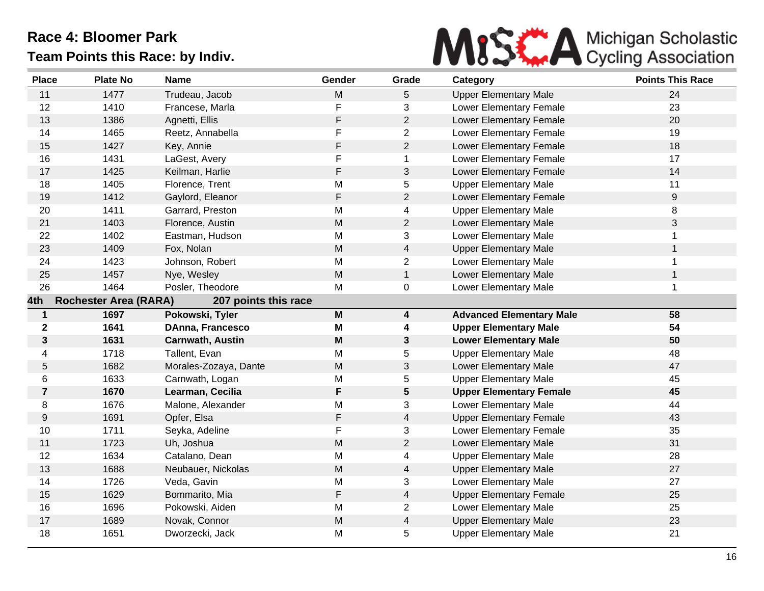

| <b>Place</b>     | <b>Plate No</b>              | <b>Name</b>             | Gender      | Grade                   | Category                        | <b>Points This Race</b> |
|------------------|------------------------------|-------------------------|-------------|-------------------------|---------------------------------|-------------------------|
| 11               | 1477                         | Trudeau, Jacob          | M           | 5                       | <b>Upper Elementary Male</b>    | 24                      |
| 12               | 1410                         | Francese, Marla         | F           | 3                       | Lower Elementary Female         | 23                      |
| 13               | 1386                         | Agnetti, Ellis          | F           | $\overline{2}$          | <b>Lower Elementary Female</b>  | 20                      |
| 14               | 1465                         | Reetz, Annabella        | F           | $\overline{2}$          | Lower Elementary Female         | 19                      |
| 15               | 1427                         | Key, Annie              | $\mathsf F$ | $\overline{2}$          | Lower Elementary Female         | 18                      |
| 16               | 1431                         | LaGest, Avery           | F           | 1                       | <b>Lower Elementary Female</b>  | 17                      |
| 17               | 1425                         | Keilman, Harlie         | $\mathsf F$ | 3                       | <b>Lower Elementary Female</b>  | 14                      |
| 18               | 1405                         | Florence, Trent         | M           | 5                       | <b>Upper Elementary Male</b>    | 11                      |
| 19               | 1412                         | Gaylord, Eleanor        | $\mathsf F$ | $\overline{2}$          | Lower Elementary Female         | $\boldsymbol{9}$        |
| 20               | 1411                         | Garrard, Preston        | M           | 4                       | <b>Upper Elementary Male</b>    | 8                       |
| 21               | 1403                         | Florence, Austin        | M           | $\overline{c}$          | Lower Elementary Male           | $\sqrt{3}$              |
| 22               | 1402                         | Eastman, Hudson         | M           | 3                       | Lower Elementary Male           | 1                       |
| 23               | 1409                         | Fox, Nolan              | M           | 4                       | <b>Upper Elementary Male</b>    | $\mathbf{1}$            |
| 24               | 1423                         | Johnson, Robert         | M           | $\overline{c}$          | Lower Elementary Male           | 1                       |
| 25               | 1457                         | Nye, Wesley             | M           | $\mathbf{1}$            | <b>Lower Elementary Male</b>    | 1                       |
| 26               | 1464                         | Posler, Theodore        | M           | 0                       | Lower Elementary Male           | $\mathbf{1}$            |
| 4th              | <b>Rochester Area (RARA)</b> | 207 points this race    |             |                         |                                 |                         |
| $\mathbf{1}$     | 1697                         | Pokowski, Tyler         | M           | $\overline{\mathbf{4}}$ | <b>Advanced Elementary Male</b> | 58                      |
| $\boldsymbol{2}$ | 1641                         | DAnna, Francesco        | M           | 4                       | <b>Upper Elementary Male</b>    | 54                      |
| 3                | 1631                         | <b>Carnwath, Austin</b> | M           | 3                       | <b>Lower Elementary Male</b>    | 50                      |
| 4                | 1718                         | Tallent, Evan           | M           | 5                       | <b>Upper Elementary Male</b>    | 48                      |
| 5                | 1682                         | Morales-Zozaya, Dante   | M           | 3                       | Lower Elementary Male           | 47                      |
| 6                | 1633                         | Carnwath, Logan         | M           | 5                       | <b>Upper Elementary Male</b>    | 45                      |
| $\overline{7}$   | 1670                         | Learman, Cecilia        | F           | 5                       | <b>Upper Elementary Female</b>  | 45                      |
| 8                | 1676                         | Malone, Alexander       | M           | 3                       | Lower Elementary Male           | 44                      |
| 9                | 1691                         | Opfer, Elsa             | $\mathsf F$ | 4                       | <b>Upper Elementary Female</b>  | 43                      |
| 10               | 1711                         | Seyka, Adeline          | F           | 3                       | Lower Elementary Female         | 35                      |
| 11               | 1723                         | Uh, Joshua              | ${\sf M}$   | $\overline{2}$          | Lower Elementary Male           | 31                      |
| 12               | 1634                         | Catalano, Dean          | M           | 4                       | <b>Upper Elementary Male</b>    | 28                      |
| 13               | 1688                         | Neubauer, Nickolas      | M           | 4                       | <b>Upper Elementary Male</b>    | 27                      |
| 14               | 1726                         | Veda, Gavin             | M           | 3                       | Lower Elementary Male           | 27                      |
| 15               | 1629                         | Bommarito, Mia          | $\mathsf F$ | 4                       | <b>Upper Elementary Female</b>  | 25                      |
| 16               | 1696                         | Pokowski, Aiden         | M           | $\overline{c}$          | Lower Elementary Male           | 25                      |
| 17               | 1689                         | Novak, Connor           | M           | $\overline{4}$          | <b>Upper Elementary Male</b>    | 23                      |
| 18               | 1651                         | Dworzecki, Jack         | M           | 5                       | <b>Upper Elementary Male</b>    | 21                      |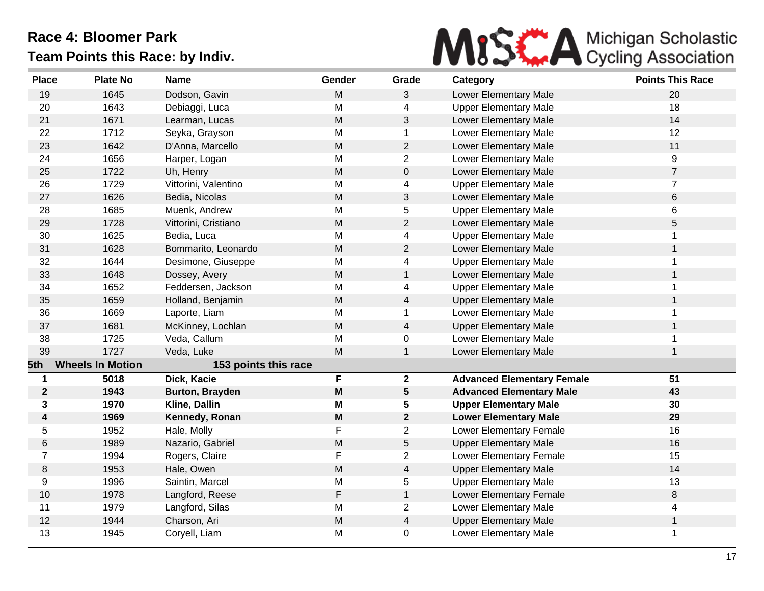

| <b>Place</b>   | <b>Plate No</b>         | <b>Name</b>            | Gender | Grade          | Category                          | <b>Points This Race</b> |
|----------------|-------------------------|------------------------|--------|----------------|-----------------------------------|-------------------------|
| 19             | 1645                    | Dodson, Gavin          | M      | 3              | Lower Elementary Male             | 20                      |
| 20             | 1643                    | Debiaggi, Luca         | M      | 4              | <b>Upper Elementary Male</b>      | 18                      |
| 21             | 1671                    | Learman, Lucas         | M      | 3              | Lower Elementary Male             | 14                      |
| 22             | 1712                    | Seyka, Grayson         | M      | 1              | Lower Elementary Male             | 12                      |
| 23             | 1642                    | D'Anna, Marcello       | M      | $\overline{2}$ | Lower Elementary Male             | 11                      |
| 24             | 1656                    | Harper, Logan          | M      | $\overline{2}$ | Lower Elementary Male             | 9                       |
| 25             | 1722                    | Uh, Henry              | M      | $\mathbf 0$    | Lower Elementary Male             | $\overline{7}$          |
| 26             | 1729                    | Vittorini, Valentino   | M      | 4              | <b>Upper Elementary Male</b>      | $\overline{7}$          |
| 27             | 1626                    | Bedia, Nicolas         | M      | $\mathfrak{S}$ | Lower Elementary Male             | 6                       |
| 28             | 1685                    | Muenk, Andrew          | M      | 5              | <b>Upper Elementary Male</b>      | 6                       |
| 29             | 1728                    | Vittorini, Cristiano   | M      | $\overline{2}$ | Lower Elementary Male             | 5                       |
| 30             | 1625                    | Bedia, Luca            | M      | 4              | <b>Upper Elementary Male</b>      | 1                       |
| 31             | 1628                    | Bommarito, Leonardo    | M      | $\overline{2}$ | Lower Elementary Male             | 1                       |
| 32             | 1644                    | Desimone, Giuseppe     | M      | 4              | <b>Upper Elementary Male</b>      | 1                       |
| 33             | 1648                    | Dossey, Avery          | M      | $\mathbf{1}$   | Lower Elementary Male             | 1                       |
| 34             | 1652                    | Feddersen, Jackson     | M      | 4              | <b>Upper Elementary Male</b>      | 1                       |
| 35             | 1659                    | Holland, Benjamin      | M      | 4              | <b>Upper Elementary Male</b>      | 1                       |
| 36             | 1669                    | Laporte, Liam          | M      | $\mathbf 1$    | Lower Elementary Male             | 1                       |
| 37             | 1681                    | McKinney, Lochlan      | M      | 4              | <b>Upper Elementary Male</b>      | 1                       |
| 38             | 1725                    | Veda, Callum           | M      | 0              | Lower Elementary Male             | 1                       |
| 39             | 1727                    | Veda, Luke             | M      | 1              | Lower Elementary Male             |                         |
| 5th            | <b>Wheels In Motion</b> | 153 points this race   |        |                |                                   |                         |
| 1              | 5018                    | Dick, Kacie            | F      | $\mathbf 2$    | <b>Advanced Elementary Female</b> | $\overline{51}$         |
| $\mathbf 2$    | 1943                    | <b>Burton, Brayden</b> | M      | 5              | <b>Advanced Elementary Male</b>   | 43                      |
| 3              | 1970                    | Kline, Dallin          | M      | 5              | <b>Upper Elementary Male</b>      | 30                      |
| 4              | 1969                    | Kennedy, Ronan         | M      | $\mathbf{2}$   | <b>Lower Elementary Male</b>      | 29                      |
| 5              | 1952                    | Hale, Molly            | F      | $\overline{2}$ | <b>Lower Elementary Female</b>    | 16                      |
| 6              | 1989                    | Nazario, Gabriel       | M      | 5              | <b>Upper Elementary Male</b>      | 16                      |
| $\overline{7}$ | 1994                    | Rogers, Claire         | F      | $\overline{2}$ | <b>Lower Elementary Female</b>    | 15                      |
| 8              | 1953                    | Hale, Owen             | M      | $\overline{4}$ | <b>Upper Elementary Male</b>      | 14                      |
| 9              | 1996                    | Saintin, Marcel        | M      | 5              | <b>Upper Elementary Male</b>      | 13                      |
| 10             | 1978                    | Langford, Reese        | F      | $\mathbf{1}$   | Lower Elementary Female           | 8                       |
| 11             | 1979                    | Langford, Silas        | M      | $\overline{2}$ | Lower Elementary Male             | 4                       |
| 12             | 1944                    | Charson, Ari           | M      | $\overline{4}$ | <b>Upper Elementary Male</b>      | $\mathbf{1}$            |
| 13             | 1945                    | Coryell, Liam          | M      | $\mathbf 0$    | Lower Elementary Male             | 1                       |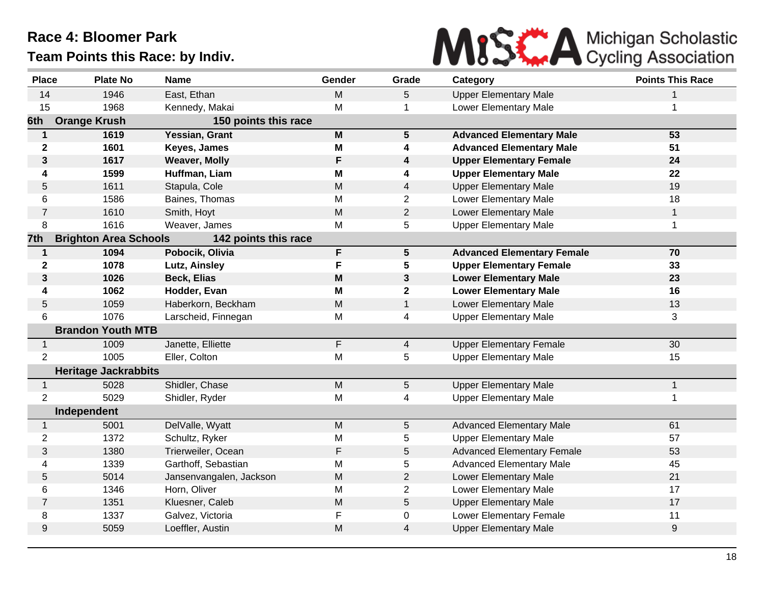

| <b>Place</b>   | <b>Plate No</b>              | <b>Name</b>             | Gender | Grade           | Category                          | <b>Points This Race</b> |
|----------------|------------------------------|-------------------------|--------|-----------------|-----------------------------------|-------------------------|
| 14             | 1946                         | East, Ethan             | M      | 5               | <b>Upper Elementary Male</b>      | 1                       |
| 15             | 1968                         | Kennedy, Makai          | M      |                 | Lower Elementary Male             |                         |
| 6th            | <b>Orange Krush</b>          | 150 points this race    |        |                 |                                   |                         |
| $\mathbf 1$    | 1619                         | Yessian, Grant          | M      | $5\phantom{.0}$ | <b>Advanced Elementary Male</b>   | 53                      |
| $\mathbf{2}$   | 1601                         | Keyes, James            | M      | 4               | <b>Advanced Elementary Male</b>   | 51                      |
| $\mathbf{3}$   | 1617                         | <b>Weaver, Molly</b>    | F      | 4               | <b>Upper Elementary Female</b>    | 24                      |
| 4              | 1599                         | Huffman, Liam           | M      | 4               | <b>Upper Elementary Male</b>      | 22                      |
| 5              | 1611                         | Stapula, Cole           | M      | 4               | <b>Upper Elementary Male</b>      | 19                      |
| 6              | 1586                         | Baines, Thomas          | М      | $\overline{2}$  | Lower Elementary Male             | 18                      |
| $\overline{7}$ | 1610                         | Smith, Hoyt             | M      | $\overline{2}$  | Lower Elementary Male             | $\mathbf{1}$            |
| 8              | 1616                         | Weaver, James           | M      | 5               | <b>Upper Elementary Male</b>      | $\mathbf{1}$            |
| 7th            | <b>Brighton Area Schools</b> | 142 points this race    |        |                 |                                   |                         |
| $\mathbf 1$    | 1094                         | Pobocik, Olivia         | F      | $5\phantom{.0}$ | <b>Advanced Elementary Female</b> | 70                      |
| $\mathbf{2}$   | 1078                         | Lutz, Ainsley           | F      | 5               | <b>Upper Elementary Female</b>    | 33                      |
| 3              | 1026                         | <b>Beck, Elias</b>      | M      | $\mathbf{3}$    | <b>Lower Elementary Male</b>      | 23                      |
| 4              | 1062                         | Hodder, Evan            | M      | $\mathbf{2}$    | <b>Lower Elementary Male</b>      | 16                      |
| 5              | 1059                         | Haberkorn, Beckham      | M      | $\mathbf{1}$    | Lower Elementary Male             | 13                      |
| 6              | 1076                         | Larscheid, Finnegan     | M      | 4               | <b>Upper Elementary Male</b>      | 3                       |
|                | <b>Brandon Youth MTB</b>     |                         |        |                 |                                   |                         |
| $\mathbf{1}$   | 1009                         | Janette, Elliette       | F      | $\overline{4}$  | <b>Upper Elementary Female</b>    | 30                      |
| $\overline{2}$ | 1005                         | Eller, Colton           | M      | 5               | <b>Upper Elementary Male</b>      | 15                      |
|                | <b>Heritage Jackrabbits</b>  |                         |        |                 |                                   |                         |
| $\mathbf{1}$   | 5028                         | Shidler, Chase          | M      | 5               | <b>Upper Elementary Male</b>      | $\mathbf{1}$            |
| $\overline{2}$ | 5029                         | Shidler, Ryder          | M      | 4               | <b>Upper Elementary Male</b>      | 1                       |
|                | Independent                  |                         |        |                 |                                   |                         |
| $\mathbf{1}$   | 5001                         | DelValle, Wyatt         | M      | 5               | <b>Advanced Elementary Male</b>   | 61                      |
| $\overline{2}$ | 1372                         | Schultz, Ryker          | M      | 5               | <b>Upper Elementary Male</b>      | 57                      |
| 3              | 1380                         | Trierweiler, Ocean      | F      | 5               | <b>Advanced Elementary Female</b> | 53                      |
| 4              | 1339                         | Garthoff, Sebastian     | M      | 5               | <b>Advanced Elementary Male</b>   | 45                      |
| 5              | 5014                         | Jansenvangalen, Jackson | M      | $\overline{2}$  | Lower Elementary Male             | 21                      |
| 6              | 1346                         | Horn, Oliver            | M      | $\overline{2}$  | Lower Elementary Male             | 17                      |
| $\overline{7}$ | 1351                         | Kluesner, Caleb         | M      | 5               | <b>Upper Elementary Male</b>      | 17                      |
| 8              | 1337                         | Galvez, Victoria        | F      | 0               | <b>Lower Elementary Female</b>    | 11                      |
| 9              | 5059                         | Loeffler, Austin        | M      | $\overline{4}$  | <b>Upper Elementary Male</b>      | $\boldsymbol{9}$        |
|                |                              |                         |        |                 |                                   |                         |